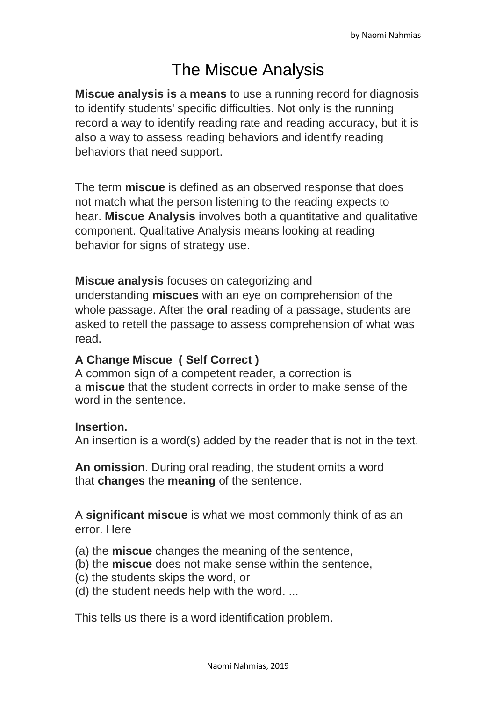# The Miscue Analysis

**Miscue analysis is** a **means** to use a running record for diagnosis to identify students' specific difficulties. Not only is the running record a way to identify reading rate and reading accuracy, but it is also a way to assess reading behaviors and identify reading behaviors that need support.

The term **miscue** is defined as an observed response that does not match what the person listening to the reading expects to hear. **Miscue Analysis** involves both a quantitative and qualitative component. Qualitative Analysis means looking at reading behavior for signs of strategy use.

**Miscue analysis** focuses on categorizing and

understanding **miscues** with an eye on comprehension of the whole passage. After the **oral** reading of a passage, students are asked to retell the passage to assess comprehension of what was read.

### **A Change Miscue ( Self Correct )**

A common sign of a competent reader, a correction is a **miscue** that the student corrects in order to make sense of the word in the sentence.

### **Insertion.**

An insertion is a word(s) added by the reader that is not in the text.

**An omission**. During oral reading, the student omits a word that **changes** the **meaning** of the sentence.

A **significant miscue** is what we most commonly think of as an error. Here

- (a) the **miscue** changes the meaning of the sentence,
- (b) the **miscue** does not make sense within the sentence,
- (c) the students skips the word, or
- (d) the student needs help with the word. ...

This tells us there is a word identification problem.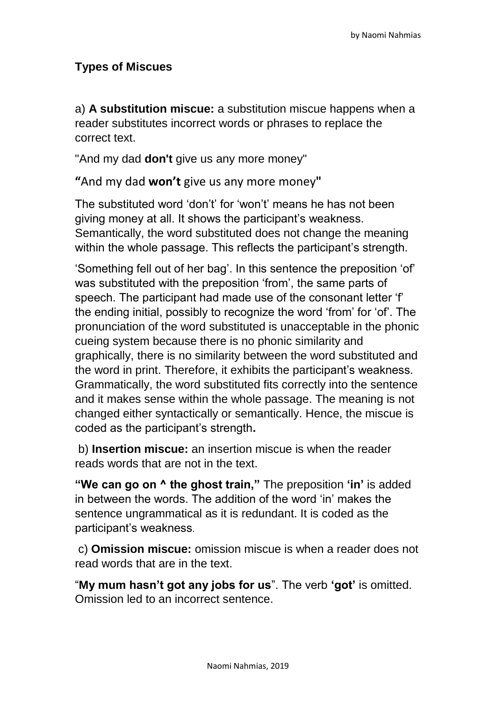## **Types of Miscues**

a) **A substitution miscue:** a substitution miscue happens when a reader substitutes incorrect words or phrases to replace the correct text.

"And my dad **don't** give us any more money"

**"**And my dad **won't** give us any more money**"**

The substituted word 'don't' for 'won't' means he has not been giving money at all. It shows the participant's weakness. Semantically, the word substituted does not change the meaning within the whole passage. This reflects the participant's strength.

'Something fell out of her bag'. In this sentence the preposition 'of' was substituted with the preposition 'from', the same parts of speech. The participant had made use of the consonant letter 'f' the ending initial, possibly to recognize the word 'from' for 'of'. The pronunciation of the word substituted is unacceptable in the phonic cueing system because there is no phonic similarity and graphically, there is no similarity between the word substituted and the word in print. Therefore, it exhibits the participant's weakness. Grammatically, the word substituted fits correctly into the sentence and it makes sense within the whole passage. The meaning is not changed either syntactically or semantically. Hence, the miscue is coded as the participant's strength**.**

b) **Insertion miscue:** an insertion miscue is when the reader reads words that are not in the text.

**"We can go on ^ the ghost train,"** The preposition **'in'** is added in between the words. The addition of the word 'in' makes the sentence ungrammatical as it is redundant. It is coded as the participant's weakness.

c) **Omission miscue:** omission miscue is when a reader does not read words that are in the text.

"**My mum hasn't got any jobs for us**". The verb **'got'** is omitted. Omission led to an incorrect sentence.